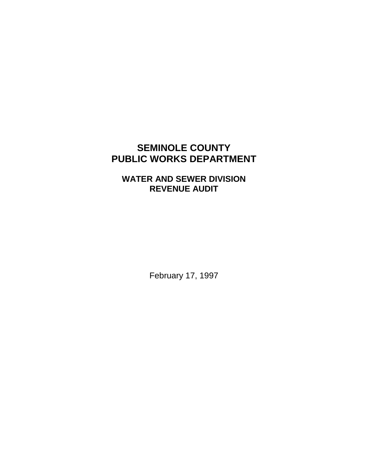# **SEMINOLE COUNTY PUBLIC WORKS DEPARTMENT**

# **WATER AND SEWER DIVISION REVENUE AUDIT**

February 17, 1997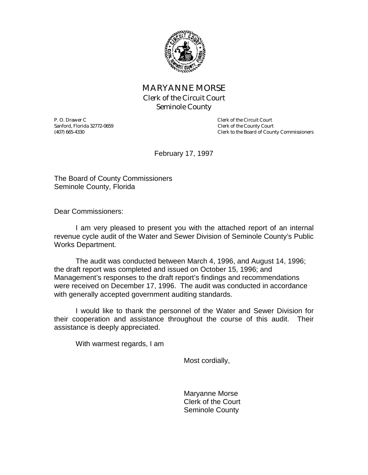

# MARYANNE MORSE Clerk of the Circuit Court Seminole County

P. O. Drawer C<br>
Sanford, Florida 32772-0659<br>
Clerk of the County Court Sanford, Florida 32772-0659<br>
(407) 665-4330<br>
Clerk to the Board of Coun

Clerk to the Board of County Commissioners

February 17, 1997

The Board of County Commissioners Seminole County, Florida

Dear Commissioners:

 I am very pleased to present you with the attached report of an internal revenue cycle audit of the Water and Sewer Division of Seminole County's Public Works Department.

 The audit was conducted between March 4, 1996, and August 14, 1996; the draft report was completed and issued on October 15, 1996; and Management's responses to the draft report's findings and recommendations were received on December 17, 1996. The audit was conducted in accordance with generally accepted government auditing standards.

 I would like to thank the personnel of the Water and Sewer Division for their cooperation and assistance throughout the course of this audit. Their assistance is deeply appreciated.

With warmest regards, I am

Most cordially,

 Maryanne Morse Clerk of the Court Seminole County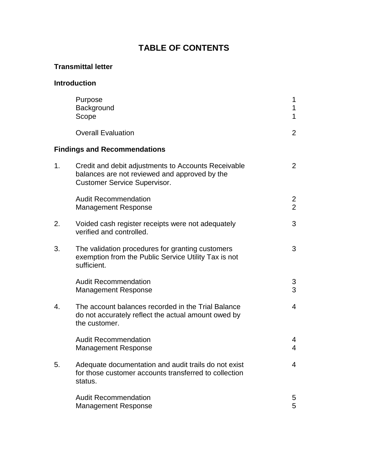# **TABLE OF CONTENTS**

# **Transmittal letter**

# **Introduction**

|    | Purpose<br>Background<br>Scope                                                                                                              | 1<br>1<br>$\mathbf{1}$ |  |  |
|----|---------------------------------------------------------------------------------------------------------------------------------------------|------------------------|--|--|
|    | <b>Overall Evaluation</b>                                                                                                                   | 2                      |  |  |
|    | <b>Findings and Recommendations</b>                                                                                                         |                        |  |  |
| 1. | Credit and debit adjustments to Accounts Receivable<br>balances are not reviewed and approved by the<br><b>Customer Service Supervisor.</b> | $\overline{2}$         |  |  |
|    | <b>Audit Recommendation</b><br><b>Management Response</b>                                                                                   | 2<br>$\overline{2}$    |  |  |
| 2. | Voided cash register receipts were not adequately<br>verified and controlled.                                                               | 3                      |  |  |
| 3. | The validation procedures for granting customers<br>exemption from the Public Service Utility Tax is not<br>sufficient.                     | 3                      |  |  |
|    | <b>Audit Recommendation</b><br><b>Management Response</b>                                                                                   | 3<br>3                 |  |  |
| 4. | The account balances recorded in the Trial Balance<br>do not accurately reflect the actual amount owed by<br>the customer.                  | $\overline{4}$         |  |  |
|    | <b>Audit Recommendation</b><br><b>Management Response</b>                                                                                   | 4<br>4                 |  |  |
| 5. | Adequate documentation and audit trails do not exist<br>for those customer accounts transferred to collection<br>status.                    | 4                      |  |  |
|    | <b>Audit Recommendation</b><br><b>Management Response</b>                                                                                   | 5<br>5                 |  |  |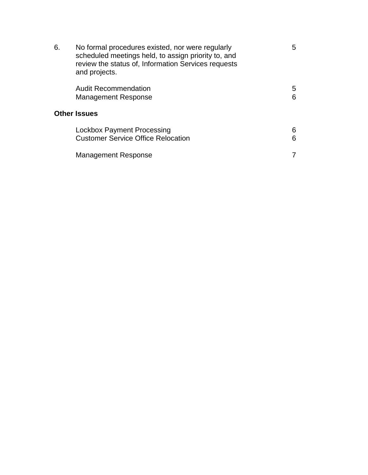| 6.                  | No formal procedures existed, nor were regularly<br>scheduled meetings held, to assign priority to, and<br>review the status of, Information Services requests<br>and projects. | 5      |  |  |
|---------------------|---------------------------------------------------------------------------------------------------------------------------------------------------------------------------------|--------|--|--|
|                     | <b>Audit Recommendation</b><br><b>Management Response</b>                                                                                                                       | 5<br>6 |  |  |
| <b>Other Issues</b> |                                                                                                                                                                                 |        |  |  |
|                     | Lockbox Payment Processing<br><b>Customer Service Office Relocation</b>                                                                                                         | 6<br>6 |  |  |
|                     | <b>Management Response</b>                                                                                                                                                      |        |  |  |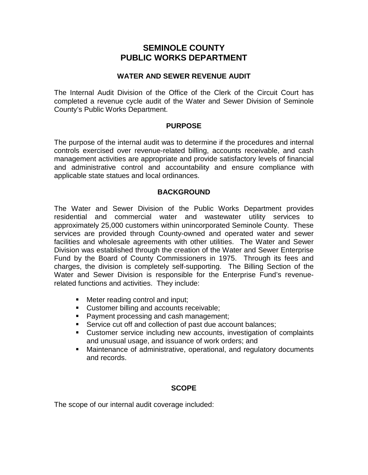# **SEMINOLE COUNTY PUBLIC WORKS DEPARTMENT**

#### **WATER AND SEWER REVENUE AUDIT**

The Internal Audit Division of the Office of the Clerk of the Circuit Court has completed a revenue cycle audit of the Water and Sewer Division of Seminole County's Public Works Department.

#### **PURPOSE**

The purpose of the internal audit was to determine if the procedures and internal controls exercised over revenue-related billing, accounts receivable, and cash management activities are appropriate and provide satisfactory levels of financial and administrative control and accountability and ensure compliance with applicable state statues and local ordinances.

#### **BACKGROUND**

The Water and Sewer Division of the Public Works Department provides residential and commercial water and wastewater utility services to approximately 25,000 customers within unincorporated Seminole County. These services are provided through County-owned and operated water and sewer facilities and wholesale agreements with other utilities. The Water and Sewer Division was established through the creation of the Water and Sewer Enterprise Fund by the Board of County Commissioners in 1975. Through its fees and charges, the division is completely self-supporting. The Billing Section of the Water and Sewer Division is responsible for the Enterprise Fund's revenuerelated functions and activities. They include:

- **E** Meter reading control and input;
- **Customer billing and accounts receivable;**
- -Payment processing and cash management;
- **Service cut off and collection of past due account balances;**
- **EXECUST CONTER SERVICE CONTER** including new accounts, investigation of complaints and unusual usage, and issuance of work orders; and
- -Maintenance of administrative, operational, and regulatory documents and records.

## **SCOPE**

The scope of our internal audit coverage included: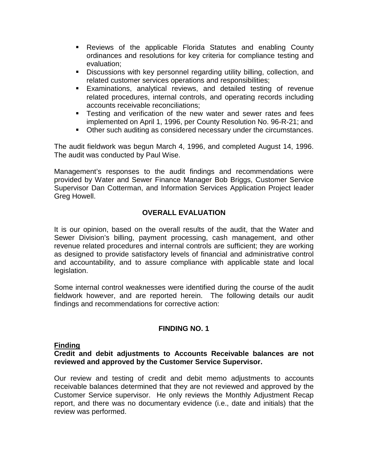- **-** Reviews of the applicable Florida Statutes and enabling County ordinances and resolutions for key criteria for compliance testing and evaluation;
- **Discussions with key personnel regarding utility billing, collection, and** related customer services operations and responsibilities;
- -Examinations, analytical reviews, and detailed testing of revenue related procedures, internal controls, and operating records including accounts receivable reconciliations;
- **Testing and verification of the new water and sewer rates and fees** implemented on April 1, 1996, per County Resolution No. 96-R-21; and
- **Other such auditing as considered necessary under the circumstances.**

The audit fieldwork was begun March 4, 1996, and completed August 14, 1996. The audit was conducted by Paul Wise.

Management's responses to the audit findings and recommendations were provided by Water and Sewer Finance Manager Bob Briggs, Customer Service Supervisor Dan Cotterman, and Information Services Application Project leader Greg Howell.

## **OVERALL EVALUATION**

It is our opinion, based on the overall results of the audit, that the Water and Sewer Division's billing, payment processing, cash management, and other revenue related procedures and internal controls are sufficient; they are working as designed to provide satisfactory levels of financial and administrative control and accountability, and to assure compliance with applicable state and local legislation.

Some internal control weaknesses were identified during the course of the audit fieldwork however, and are reported herein. The following details our audit findings and recommendations for corrective action:

## **FINDING NO. 1**

#### **Finding**

#### **Credit and debit adjustments to Accounts Receivable balances are not reviewed and approved by the Customer Service Supervisor.**

Our review and testing of credit and debit memo adjustments to accounts receivable balances determined that they are not reviewed and approved by the Customer Service supervisor. He only reviews the Monthly Adjustment Recap report, and there was no documentary evidence (i.e., date and initials) that the review was performed.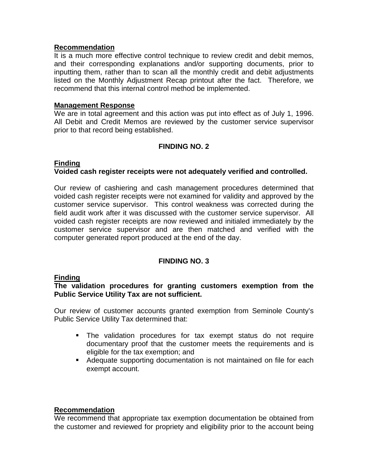#### **Recommendation**

It is a much more effective control technique to review credit and debit memos, and their corresponding explanations and/or supporting documents, prior to inputting them, rather than to scan all the monthly credit and debit adjustments listed on the Monthly Adjustment Recap printout after the fact. Therefore, we recommend that this internal control method be implemented.

#### **Management Response**

We are in total agreement and this action was put into effect as of July 1, 1996. All Debit and Credit Memos are reviewed by the customer service supervisor prior to that record being established.

## **FINDING NO. 2**

#### **Finding Voided cash register receipts were not adequately verified and controlled.**

Our review of cashiering and cash management procedures determined that voided cash register receipts were not examined for validity and approved by the customer service supervisor. This control weakness was corrected during the field audit work after it was discussed with the customer service supervisor. All voided cash register receipts are now reviewed and initialed immediately by the customer service supervisor and are then matched and verified with the computer generated report produced at the end of the day.

## **FINDING NO. 3**

## **Finding**

#### **The validation procedures for granting customers exemption from the Public Service Utility Tax are not sufficient.**

Our review of customer accounts granted exemption from Seminole County's Public Service Utility Tax determined that:

- -The validation procedures for tax exempt status do not require documentary proof that the customer meets the requirements and is eligible for the tax exemption; and
- -Adequate supporting documentation is not maintained on file for each exempt account.

## **Recommendation**

We recommend that appropriate tax exemption documentation be obtained from the customer and reviewed for propriety and eligibility prior to the account being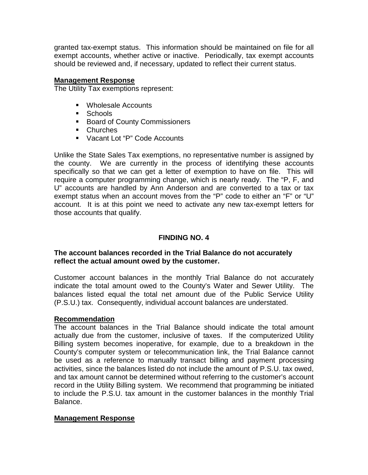granted tax-exempt status. This information should be maintained on file for all exempt accounts, whether active or inactive. Periodically, tax exempt accounts should be reviewed and, if necessary, updated to reflect their current status.

#### **Management Response**

The Utility Tax exemptions represent:

- -Wholesale Accounts
- **Schools**
- **Board of County Commissioners**
- -Churches
- -Vacant Lot "P" Code Accounts

Unlike the State Sales Tax exemptions, no representative number is assigned by the county. We are currently in the process of identifying these accounts specifically so that we can get a letter of exemption to have on file. This will require a computer programming change, which is nearly ready. The "P, F, and U" accounts are handled by Ann Anderson and are converted to a tax or tax exempt status when an account moves from the "P" code to either an "F" or "U" account. It is at this point we need to activate any new tax-exempt letters for those accounts that qualify.

## **FINDING NO. 4**

#### **The account balances recorded in the Trial Balance do not accurately reflect the actual amount owed by the customer.**

Customer account balances in the monthly Trial Balance do not accurately indicate the total amount owed to the County's Water and Sewer Utility. The balances listed equal the total net amount due of the Public Service Utility (P.S.U.) tax. Consequently, individual account balances are understated.

#### **Recommendation**

The account balances in the Trial Balance should indicate the total amount actually due from the customer, inclusive of taxes. If the computerized Utility Billing system becomes inoperative, for example, due to a breakdown in the County's computer system or telecommunication link, the Trial Balance cannot be used as a reference to manually transact billing and payment processing activities, since the balances listed do not include the amount of P.S.U. tax owed, and tax amount cannot be determined without referring to the customer's account record in the Utility Billing system. We recommend that programming be initiated to include the P.S.U. tax amount in the customer balances in the monthly Trial Balance.

## **Management Response**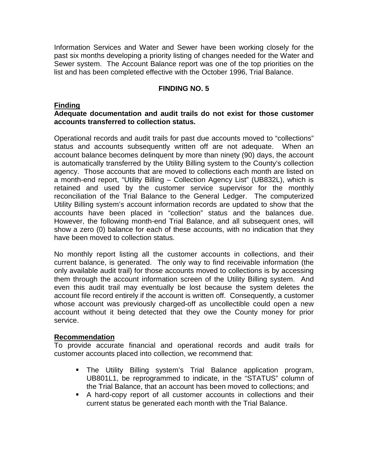Information Services and Water and Sewer have been working closely for the past six months developing a priority listing of changes needed for the Water and Sewer system. The Account Balance report was one of the top priorities on the list and has been completed effective with the October 1996, Trial Balance.

## **FINDING NO. 5**

#### **Finding**

## **Adequate documentation and audit trails do not exist for those customer accounts transferred to collection status.**

Operational records and audit trails for past due accounts moved to "collections" status and accounts subsequently written off are not adequate. When an account balance becomes delinquent by more than ninety (90) days, the account is automatically transferred by the Utility Billing system to the County's collection agency. Those accounts that are moved to collections each month are listed on a month-end report, "Utility Billing – Collection Agency List" (UB832L), which is retained and used by the customer service supervisor for the monthly reconciliation of the Trial Balance to the General Ledger. The computerized Utility Billing system's account information records are updated to show that the accounts have been placed in "collection" status and the balances due. However, the following month-end Trial Balance, and all subsequent ones, will show a zero (0) balance for each of these accounts, with no indication that they have been moved to collection status.

No monthly report listing all the customer accounts in collections, and their current balance, is generated. The only way to find receivable information (the only available audit trail) for those accounts moved to collections is by accessing them through the account information screen of the Utility Billing system. And even this audit trail may eventually be lost because the system deletes the account file record entirely if the account is written off. Consequently, a customer whose account was previously charged-off as uncollectible could open a new account without it being detected that they owe the County money for prior service.

#### **Recommendation**

To provide accurate financial and operational records and audit trails for customer accounts placed into collection, we recommend that:

- -The Utility Billing system's Trial Balance application program, UB801L1, be reprogrammed to indicate, in the "STATUS" column of the Trial Balance, that an account has been moved to collections; and
- -A hard-copy report of all customer accounts in collections and their current status be generated each month with the Trial Balance.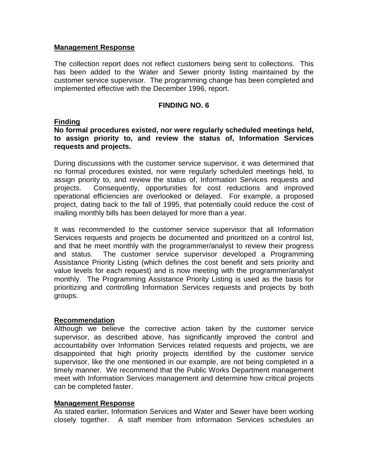#### **Management Response**

The collection report does not reflect customers being sent to collections. This has been added to the Water and Sewer priority listing maintained by the customer service supervisor. The programming change has been completed and implemented effective with the December 1996, report.

#### **FINDING NO. 6**

#### **Finding**

## **No formal procedures existed, nor were regularly scheduled meetings held, to assign priority to, and review the status of, Information Services requests and projects.**

During discussions with the customer service supervisor, it was determined that no formal procedures existed, nor were regularly scheduled meetings held, to assign priority to, and review the status of, Information Services requests and projects. Consequently, opportunities for cost reductions and improved operational efficiencies are overlooked or delayed. For example, a proposed project, dating back to the fall of 1995, that potentially could reduce the cost of mailing monthly bills has been delayed for more than a year.

It was recommended to the customer service supervisor that all Information Services requests and projects be documented and prioritized on a control list, and that he meet monthly with the programmer/analyst to review their progress and status. The customer service supervisor developed a Programming Assistance Priority Listing (which defines the cost benefit and sets priority and value levels for each request) and is now meeting with the programmer/analyst monthly. The Programming Assistance Priority Listing is used as the basis for prioritizing and controlling Information Services requests and projects by both groups.

#### **Recommendation**

Although we believe the corrective action taken by the customer service supervisor, as described above, has significantly improved the control and accountability over Information Services related requests and projects, we are disappointed that high priority projects identified by the customer service supervisor, like the one mentioned in our example, are not being completed in a timely manner. We recommend that the Public Works Department management meet with Information Services management and determine how critical projects can be completed faster.

## **Management Response**

As stated earlier, Information Services and Water and Sewer have been working closely together. A staff member from Information Services schedules an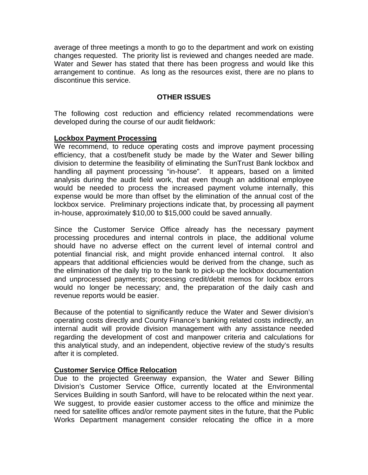average of three meetings a month to go to the department and work on existing changes requested. The priority list is reviewed and changes needed are made. Water and Sewer has stated that there has been progress and would like this arrangement to continue. As long as the resources exist, there are no plans to discontinue this service.

## **OTHER ISSUES**

The following cost reduction and efficiency related recommendations were developed during the course of our audit fieldwork:

#### **Lockbox Payment Processing**

We recommend, to reduce operating costs and improve payment processing efficiency, that a cost/benefit study be made by the Water and Sewer billing division to determine the feasibility of eliminating the SunTrust Bank lockbox and handling all payment processing "in-house". It appears, based on a limited analysis during the audit field work, that even though an additional employee would be needed to process the increased payment volume internally, this expense would be more than offset by the elimination of the annual cost of the lockbox service. Preliminary projections indicate that, by processing all payment in-house, approximately \$10,00 to \$15,000 could be saved annually.

Since the Customer Service Office already has the necessary payment processing procedures and internal controls in place, the additional volume should have no adverse effect on the current level of internal control and potential financial risk, and might provide enhanced internal control. It also appears that additional efficiencies would be derived from the change, such as the elimination of the daily trip to the bank to pick-up the lockbox documentation and unprocessed payments; processing credit/debit memos for lockbox errors would no longer be necessary; and, the preparation of the daily cash and revenue reports would be easier.

Because of the potential to significantly reduce the Water and Sewer division's operating costs directly and County Finance's banking related costs indirectly, an internal audit will provide division management with any assistance needed regarding the development of cost and manpower criteria and calculations for this analytical study, and an independent, objective review of the study's results after it is completed.

## **Customer Service Office Relocation**

Due to the projected Greenway expansion, the Water and Sewer Billing Division's Customer Service Office, currently located at the Environmental Services Building in south Sanford, will have to be relocated within the next year. We suggest, to provide easier customer access to the office and minimize the need for satellite offices and/or remote payment sites in the future, that the Public Works Department management consider relocating the office in a more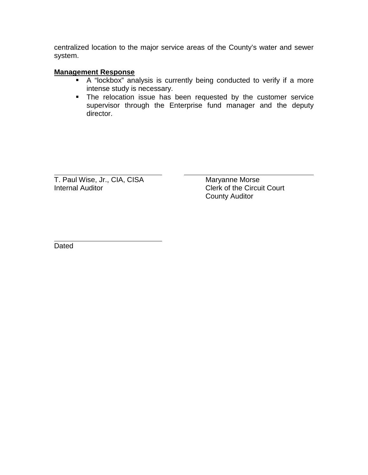centralized location to the major service areas of the County's water and sewer system.

## **Management Response**

- -A "lockbox" analysis is currently being conducted to verify if a more intense study is necessary.
- **The relocation issue has been requested by the customer service** supervisor through the Enterprise fund manager and the deputy director.

T. Paul Wise, Jr., CIA, CISA Maryanne Morse Internal Auditor **Clerk of the Circuit Court** 

County Auditor

 $\overline{a}$ **Dated** 

 $\overline{a}$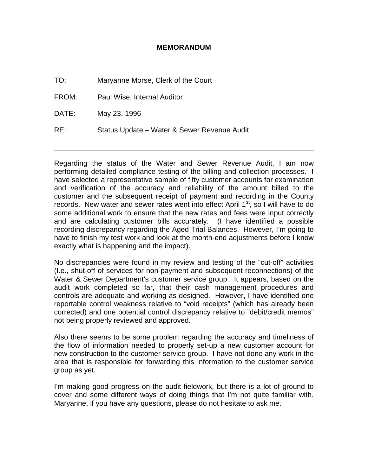#### **MEMORANDUM**

TO: Maryanne Morse, Clerk of the Court

FROM: Paul Wise, Internal Auditor

DATE: May 23, 1996

 $\overline{a}$ 

RE: Status Update – Water & Sewer Revenue Audit

Regarding the status of the Water and Sewer Revenue Audit, I am now performing detailed compliance testing of the billing and collection processes. I have selected a representative sample of fifty customer accounts for examination and verification of the accuracy and reliability of the amount billed to the customer and the subsequent receipt of payment and recording in the County records. New water and sewer rates went into effect April  $1<sup>st</sup>$ , so I will have to do some additional work to ensure that the new rates and fees were input correctly and are calculating customer bills accurately. (I have identified a possible recording discrepancy regarding the Aged Trial Balances. However, I'm going to have to finish my test work and look at the month-end adjustments before I know exactly what is happening and the impact).

No discrepancies were found in my review and testing of the "cut-off" activities (I.e., shut-off of services for non-payment and subsequent reconnections) of the Water & Sewer Department's customer service group. It appears, based on the audit work completed so far, that their cash management procedures and controls are adequate and working as designed. However, I have identified one reportable control weakness relative to "void receipts" (which has already been corrected) and one potential control discrepancy relative to "debit/credit memos" not being properly reviewed and approved.

Also there seems to be some problem regarding the accuracy and timeliness of the flow of information needed to properly set-up a new customer account for new construction to the customer service group. I have not done any work in the area that is responsible for forwarding this information to the customer service group as yet.

I'm making good progress on the audit fieldwork, but there is a lot of ground to cover and some different ways of doing things that I'm not quite familiar with. Maryanne, if you have any questions, please do not hesitate to ask me.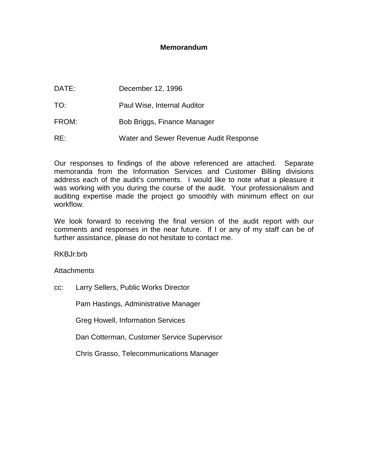#### **Memorandum**

DATE: December 12, 1996 TO: Paul Wise, Internal Auditor FROM: Bob Briggs, Finance Manager RE: Water and Sewer Revenue Audit Response

Our responses to findings of the above referenced are attached. Separate memoranda from the Information Services and Customer Billing divisions address each of the audit's comments. I would like to note what a pleasure it was working with you during the course of the audit. Your professionalism and auditing expertise made the project go smoothly with minimum effect on our workflow.

We look forward to receiving the final version of the audit report with our comments and responses in the near future. If I or any of my staff can be of further assistance, please do not hesitate to contact me.

RKBJr:brb

**Attachments** 

cc: Larry Sellers, Public Works Director

Pam Hastings, Administrative Manager

Greg Howell, Information Services

Dan Cotterman, Customer Service Supervisor

Chris Grasso, Telecommunications Manager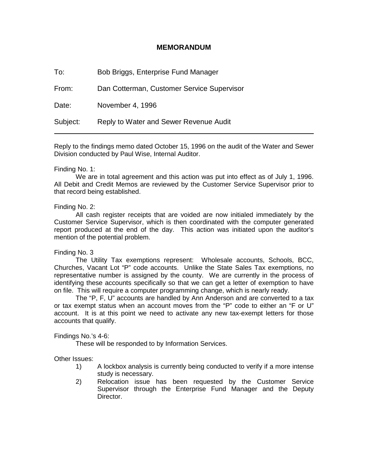#### **MEMORANDUM**

To: Bob Briggs, Enterprise Fund Manager

From: Dan Cotterman, Customer Service Supervisor

Date: November 4, 1996

Subject: Reply to Water and Sewer Revenue Audit

Reply to the findings memo dated October 15, 1996 on the audit of the Water and Sewer Division conducted by Paul Wise, Internal Auditor.

#### Finding No. 1:

 $\overline{a}$ 

 We are in total agreement and this action was put into effect as of July 1, 1996. All Debit and Credit Memos are reviewed by the Customer Service Supervisor prior to that record being established.

#### Finding No. 2:

 All cash register receipts that are voided are now initialed immediately by the Customer Service Supervisor, which is then coordinated with the computer generated report produced at the end of the day. This action was initiated upon the auditor's mention of the potential problem.

Finding No. 3

 The Utility Tax exemptions represent: Wholesale accounts, Schools, BCC, Churches, Vacant Lot "P" code accounts. Unlike the State Sales Tax exemptions, no representative number is assigned by the county. We are currently in the process of identifying these accounts specifically so that we can get a letter of exemption to have on file. This will require a computer programming change, which is nearly ready.

 The "P, F, U" accounts are handled by Ann Anderson and are converted to a tax or tax exempt status when an account moves from the "P" code to either an "F or U" account. It is at this point we need to activate any new tax-exempt letters for those accounts that qualify.

Findings No.'s 4-6:

These will be responded to by Information Services.

Other Issues:

- 1) A lockbox analysis is currently being conducted to verify if a more intense study is necessary.
- 2) Relocation issue has been requested by the Customer Service Supervisor through the Enterprise Fund Manager and the Deputy Director.